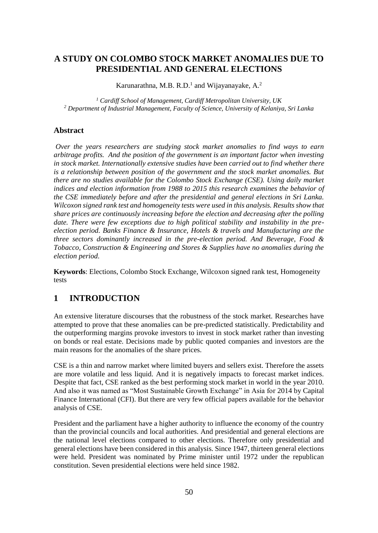## **A STUDY ON COLOMBO STOCK MARKET ANOMALIES DUE TO PRESIDENTIAL AND GENERAL ELECTIONS**

Karunarathna, M.B. R.D.<sup>1</sup> and Wijayanayake, A.<sup>2</sup>

*<sup>1</sup> Cardiff School of Management, Cardiff Metropolitan University, UK <sup>2</sup> Department of Industrial Management, Faculty of Science, University of Kelaniya, Sri Lanka*

#### **Abstract**

*Over the years researchers are studying stock market anomalies to find ways to earn arbitrage profits. And the position of the government is an important factor when investing in stock market. Internationally extensive studies have been carried out to find whether there is a relationship between position of the government and the stock market anomalies. But there are no studies available for the Colombo Stock Exchange (CSE). Using daily market indices and election information from 1988 to 2015 this research examines the behavior of the CSE immediately before and after the presidential and general elections in Sri Lanka. Wilcoxon signed rank test and homogeneity tests were used in this analysis. Results show that share prices are continuously increasing before the election and decreasing after the polling date. There were few exceptions due to high political stability and instability in the preelection period. Banks Finance & Insurance, Hotels & travels and Manufacturing are the three sectors dominantly increased in the pre-election period. And Beverage, Food & Tobacco, Construction & Engineering and Stores & Supplies have no anomalies during the election period.* 

**Keywords**: Elections, Colombo Stock Exchange, Wilcoxon signed rank test, Homogeneity tests

## **1 INTRODUCTION**

An extensive literature discourses that the robustness of the stock market. Researches have attempted to prove that these anomalies can be pre-predicted statistically. Predictability and the outperforming margins provoke investors to invest in stock market rather than investing on bonds or real estate. Decisions made by public quoted companies and investors are the main reasons for the anomalies of the share prices.

CSE is a thin and narrow market where limited buyers and sellers exist. Therefore the assets are more volatile and less liquid. And it is negatively impacts to forecast market indices. Despite that fact, CSE ranked as the best performing stock market in world in the year 2010. And also it was named as "Most Sustainable Growth Exchange" in Asia for 2014 by Capital Finance International (CFI). But there are very few official papers available for the behavior analysis of CSE.

President and the parliament have a higher authority to influence the economy of the country than the provincial councils and local authorities. And presidential and general elections are the national level elections compared to other elections. Therefore only presidential and general elections have been considered in this analysis. Since 1947, thirteen general elections were held. President was nominated by Prime minister until 1972 under the republican constitution. Seven presidential elections were held since 1982.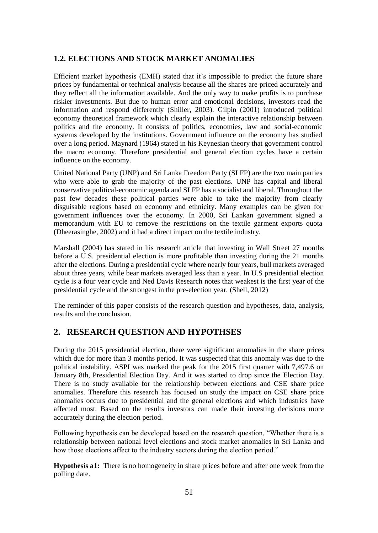### **1.2. ELECTIONS AND STOCK MARKET ANOMALIES**

Efficient market hypothesis (EMH) stated that it's impossible to predict the future share prices by fundamental or technical analysis because all the shares are priced accurately and they reflect all the information available. And the only way to make profits is to purchase riskier investments. But due to human error and emotional decisions, investors read the information and respond differently (Shiller, 2003). Gilpin (2001) introduced political economy theoretical framework which clearly explain the interactive relationship between politics and the economy. It consists of politics, economies, law and social-economic systems developed by the institutions. Government influence on the economy has studied over a long period. Maynard (1964) stated in his Keynesian theory that government control the macro economy. Therefore presidential and general election cycles have a certain influence on the economy.

United National Party (UNP) and Sri Lanka Freedom Party (SLFP) are the two main parties who were able to grab the majority of the past elections. UNP has capital and liberal conservative political-economic agenda and SLFP has a socialist and liberal. Throughout the past few decades these political parties were able to take the majority from clearly disguisable regions based on economy and ethnicity. Many examples can be given for government influences over the economy. In 2000, Sri Lankan government signed a memorandum with EU to remove the restrictions on the textile garment exports quota (Dheerasinghe, 2002) and it had a direct impact on the textile industry.

Marshall (2004) has stated in his research article that investing in Wall Street 27 months before a U.S. presidential election is more profitable than investing during the 21 months after the elections. During a presidential cycle where nearly four years, bull markets averaged about three years, while bear markets averaged less than a year. In U.S presidential election cycle is a four year cycle and Ned Davis Research notes that weakest is the first year of the presidential cycle and the strongest in the pre-election year. (Shell, 2012)

The reminder of this paper consists of the research question and hypotheses, data, analysis, results and the conclusion.

## **2. RESEARCH QUESTION AND HYPOTHSES**

During the 2015 presidential election, there were significant anomalies in the share prices which due for more than 3 months period. It was suspected that this anomaly was due to the political instability. ASPI was marked the peak for the 2015 first quarter with 7,497.6 on January 8th, Presidential Election Day. And it was started to drop since the Election Day. There is no study available for the relationship between elections and CSE share price anomalies. Therefore this research has focused on study the impact on CSE share price anomalies occurs due to presidential and the general elections and which industries have affected most. Based on the results investors can made their investing decisions more accurately during the election period.

Following hypothesis can be developed based on the research question, "Whether there is a relationship between national level elections and stock market anomalies in Sri Lanka and how those elections affect to the industry sectors during the election period."

**Hypothesis a1:** There is no homogeneity in share prices before and after one week from the polling date.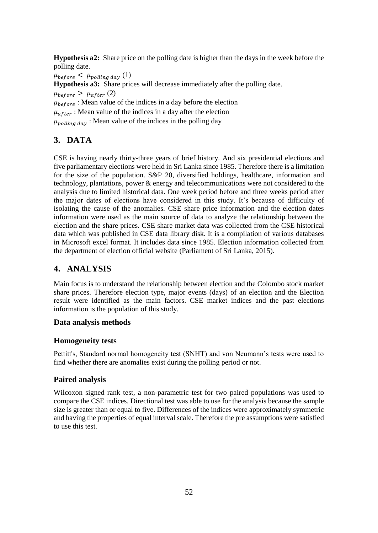**Hypothesis a2:** Share price on the polling date is higher than the days in the week before the polling date.

 $\mu_{before} < \mu_{polling\,day}$  (1) **Hypothesis a3:** Share prices will decrease immediately after the polling date.  $\mu_{before} > \mu_{after} (2)$  $\mu_{before}$ : Mean value of the indices in a day before the election  $\mu_{after}$ : Mean value of the indices in a day after the election  $\mu_{\text{polling day}}$ : Mean value of the indices in the polling day

# **3. DATA**

CSE is having nearly thirty-three years of brief history. And six presidential elections and five parliamentary elections were held in Sri Lanka since 1985. Therefore there is a limitation for the size of the population. S&P 20, diversified holdings, healthcare, information and technology, plantations, power & energy and telecommunications were not considered to the analysis due to limited historical data. One week period before and three weeks period after the major dates of elections have considered in this study. It's because of difficulty of isolating the cause of the anomalies. CSE share price information and the election dates information were used as the main source of data to analyze the relationship between the election and the share prices. CSE share market data was collected from the CSE historical data which was published in CSE data library disk. It is a compilation of various databases in Microsoft excel format. It includes data since 1985. Election information collected from the department of election official website (Parliament of Sri Lanka, 2015).

## **4. ANALYSIS**

Main focus is to understand the relationship between election and the Colombo stock market share prices. Therefore election type, major events (days) of an election and the Election result were identified as the main factors. CSE market indices and the past elections information is the population of this study.

### **Data analysis methods**

### **Homogeneity tests**

Pettitt's, Standard normal homogeneity test (SNHT) and von Neumann's tests were used to find whether there are anomalies exist during the polling period or not.

## **Paired analysis**

Wilcoxon signed rank test, a non-parametric test for two paired populations was used to compare the CSE indices. Directional test was able to use for the analysis because the sample size is greater than or equal to five. Differences of the indices were approximately symmetric and having the properties of equal interval scale. Therefore the pre assumptions were satisfied to use this test.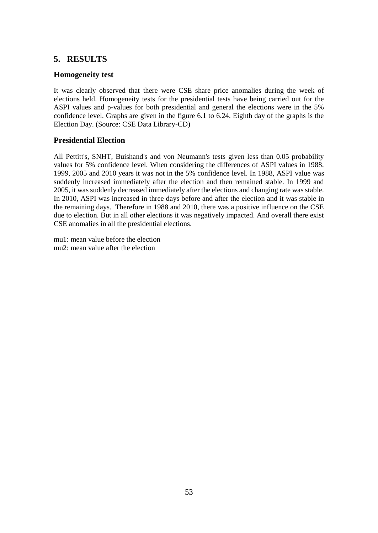## **5. RESULTS**

### **Homogeneity test**

It was clearly observed that there were CSE share price anomalies during the week of elections held. Homogeneity tests for the presidential tests have being carried out for the ASPI values and p-values for both presidential and general the elections were in the 5% confidence level. Graphs are given in the figure 6.1 to 6.24. Eighth day of the graphs is the Election Day. (Source: CSE Data Library-CD)

### **Presidential Election**

All Pettitt's, SNHT, Buishand's and von Neumann's tests given less than 0.05 probability values for 5% confidence level. When considering the differences of ASPI values in 1988, 1999, 2005 and 2010 years it was not in the 5% confidence level. In 1988, ASPI value was suddenly increased immediately after the election and then remained stable. In 1999 and 2005, it was suddenly decreased immediately after the elections and changing rate was stable. In 2010, ASPI was increased in three days before and after the election and it was stable in the remaining days. Therefore in 1988 and 2010, there was a positive influence on the CSE due to election. But in all other elections it was negatively impacted. And overall there exist CSE anomalies in all the presidential elections.

mu1: mean value before the election mu2: mean value after the election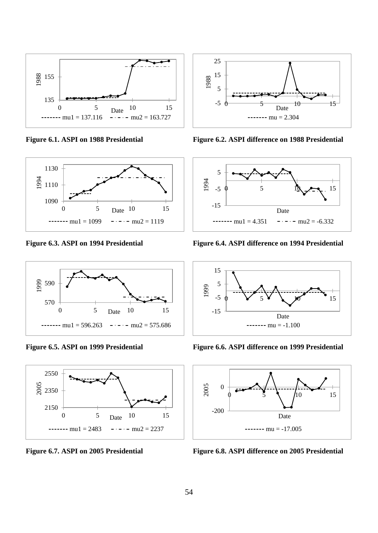









**Figure 6.1. ASPI on 1988 Presidential Figure 6.2. ASPI difference on 1988 Presidential**



**Figure 6.3. ASPI on 1994 Presidential Figure 6.4. ASPI difference on 1994 Presidential**



**Figure 6.5. ASPI on 1999 Presidential Figure 6.6. ASPI difference on 1999 Presidential**



**Figure 6.7. ASPI on 2005 Presidential Figure 6.8. ASPI difference on 2005 Presidential**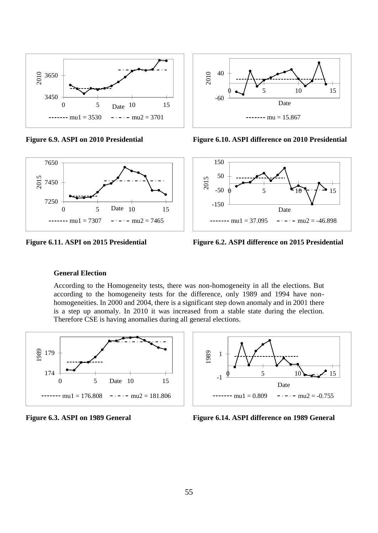





**Figure 6.9. ASPI on 2010 Presidential Figure 6.10. ASPI difference on 2010 Presidential**



**Figure 6.11. ASPI on 2015 Presidential Figure 6.2. ASPI difference on 2015 Presidential**

#### **General Election**

According to the Homogeneity tests, there was non-homogeneity in all the elections. But according to the homogeneity tests for the difference, only 1989 and 1994 have nonhomogeneities. In 2000 and 2004, there is a significant step down anomaly and in 2001 there is a step up anomaly. In 2010 it was increased from a stable state during the election. Therefore CSE is having anomalies during all general elections.





**Figure 6.3. ASPI on 1989 General Figure 6.14. ASPI difference on 1989 General**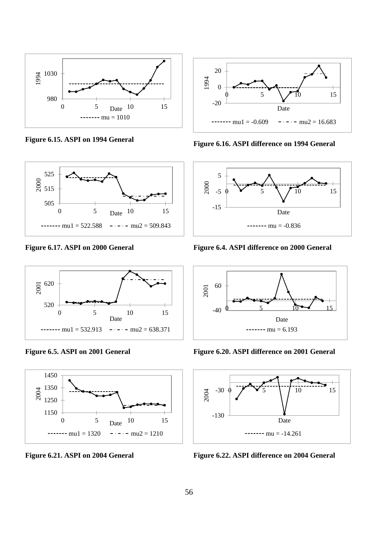









**Figure 6.15. ASPI on 1994 General Figure 6.16. ASPI difference on 1994 General**



**Figure 6.17. ASPI on 2000 General Figure 6.4. ASPI difference on 2000 General**



**Figure 6.5. ASPI on 2001 General Figure 6.20. ASPI difference on 2001 General**



**Figure 6.21. ASPI on 2004 General Figure 6.22. ASPI difference on 2004 General**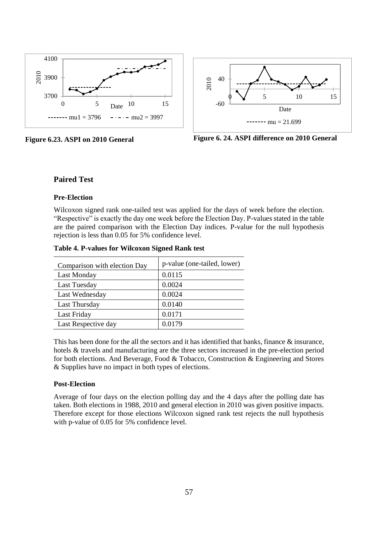



**Figure 6.23. ASPI on 2010 General Figure 6. 24. ASPI difference on 2010 General**

#### **Paired Test**

#### **Pre-Election**

Wilcoxon signed rank one-tailed test was applied for the days of week before the election. "Respective" is exactly the day one week before the Election Day. P-values stated in the table are the paired comparison with the Election Day indices. P-value for the null hypothesis rejection is less than 0.05 for 5% confidence level.

| Comparison with election Day | p-value (one-tailed, lower) |
|------------------------------|-----------------------------|
| Last Monday                  | 0.0115                      |
| <b>Last Tuesday</b>          | 0.0024                      |
| Last Wednesday               | 0.0024                      |
| Last Thursday                | 0.0140                      |
| Last Friday                  | 0.0171                      |
| Last Respective day          | 0.0179                      |

**Table 4. P-values for Wilcoxon Signed Rank test**

This has been done for the all the sectors and it has identified that banks, finance & insurance, hotels & travels and manufacturing are the three sectors increased in the pre-election period for both elections. And Beverage, Food & Tobacco, Construction & Engineering and Stores & Supplies have no impact in both types of elections.

#### **Post-Election**

Average of four days on the election polling day and the 4 days after the polling date has taken. Both elections in 1988, 2010 and general election in 2010 was given positive impacts. Therefore except for those elections Wilcoxon signed rank test rejects the null hypothesis with p-value of 0.05 for 5% confidence level.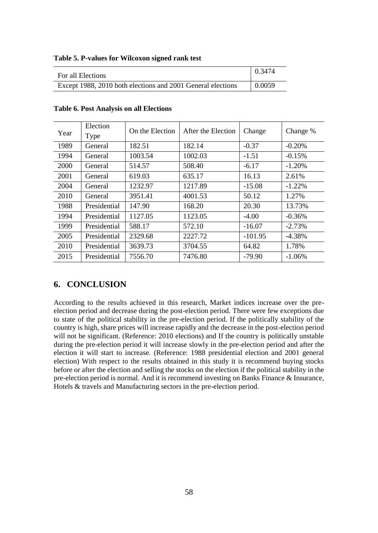| For all Elections                                           | 0.3474        |
|-------------------------------------------------------------|---------------|
|                                                             |               |
| Except 1988, 2010 both elections and 2001 General elections | $\mid 0.0059$ |

| Table 5. P-values for Wilcoxon signed rank test |  |  |  |  |
|-------------------------------------------------|--|--|--|--|
|-------------------------------------------------|--|--|--|--|

| Year | Election<br>Type | On the Election | After the Election | Change    | Change %  |
|------|------------------|-----------------|--------------------|-----------|-----------|
| 1989 | General          | 182.51          | 182.14             | $-0.37$   | $-0.20%$  |
| 1994 | General          | 1003.54         | 1002.03            | $-1.51$   | $-0.15%$  |
| 2000 | General          | 514.57          | 508.40             | $-6.17$   | $-1.20%$  |
| 2001 | General          | 619.03          | 635.17             | 16.13     | 2.61%     |
| 2004 | General          | 1232.97         | 1217.89            | $-15.08$  | $-1.22\%$ |
| 2010 | General          | 3951.41         | 4001.53            | 50.12     | 1.27%     |
| 1988 | Presidential     | 147.90          | 168.20             | 20.30     | 13.73%    |
| 1994 | Presidential     | 1127.05         | 1123.05            | $-4.00$   | $-0.36%$  |
| 1999 | Presidential     | 588.17          | 572.10             | $-16.07$  | $-2.73%$  |
| 2005 | Presidential     | 2329.68         | 2227.72            | $-101.95$ | $-4.38%$  |
| 2010 | Presidential     | 3639.73         | 3704.55            | 64.82     | 1.78%     |
| 2015 | Presidential     | 7556.70         | 7476.80            | $-79.90$  | $-1.06\%$ |

#### **Table 6. Post Analysis on all Elections**

### **6. CONCLUSION**

According to the results achieved in this research, Market indices increase over the preelection period and decrease during the post-election period. There were few exceptions due to state of the political stability in the pre-election period. If the politically stability of the country is high, share prices will increase rapidly and the decrease in the post-election period will not be significant. (Reference: 2010 elections) and If the country is politically unstable during the pre-election period it will increase slowly in the pre-election period and after the election it will start to increase. (Reference: 1988 presidential election and 2001 general election) With respect to the results obtained in this study it is recommend buying stocks before or after the election and selling the stocks on the election if the political stability in the pre-election period is normal. And it is recommend investing on Banks Finance & Insurance, Hotels & travels and Manufacturing sectors in the pre-election period.